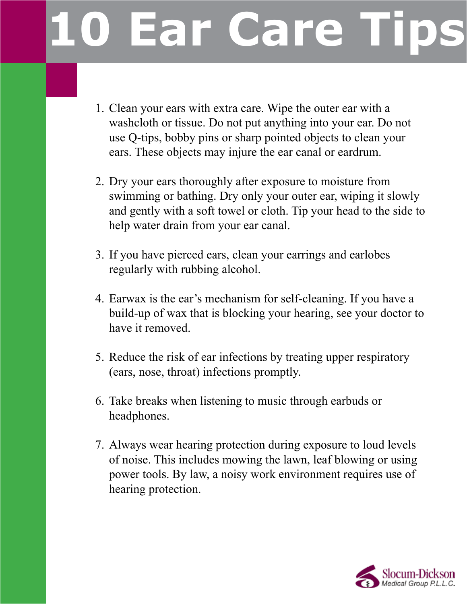## **Lar Care Tips**

- 1. Clean your ears with extra care. Wipe the outer ear with a washcloth or tissue. Do not put anything into your ear. Do not use Q-tips, bobby pins or sharp pointed objects to clean your ears. These objects may injure the ear canal or eardrum.
- 2. Dry your ears thoroughly after exposure to moisture from swimming or bathing. Dry only your outer ear, wiping it slowly and gently with a soft towel or cloth. Tip your head to the side to help water drain from your ear canal.
- 3. If you have pierced ears, clean your earrings and earlobes regularly with rubbing alcohol.
- 4. Earwax is the ear's mechanism for self-cleaning. If you have a build-up of wax that is blocking your hearing, see your doctor to have it removed.
- 5. Reduce the risk of ear infections by treating upper respiratory (ears, nose, throat) infections promptly.
- 6. Take breaks when listening to music through earbuds or headphones.
- 7. Always wear hearing protection during exposure to loud levels of noise. This includes mowing the lawn, leaf blowing or using power tools. By law, a noisy work environment requires use of hearing protection.